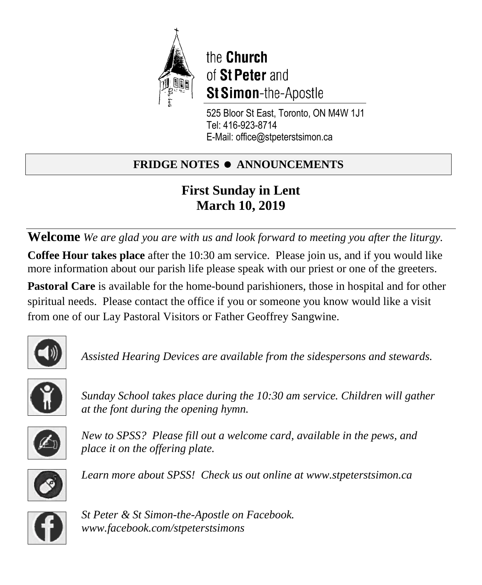

the Church of St Peter and **St Simon-the-Apostle** 

525 Bloor St East, Toronto, ON M4W 1J1 Tel: 416-923-8714 E-Mail: office@stpeterstsimon.ca

# **FRIDGE NOTES • ANNOUNCEMENTS**

# **First Sunday in Lent March 10, 2019**

**Welcome** *We are glad you are with us and look forward to meeting you after the liturgy.* **Coffee Hour takes place** after the 10:30 am service. Please join us, and if you would like more information about our parish life please speak with our priest or one of the greeters.

**Pastoral Care** is available for the home-bound parishioners, those in hospital and for other spiritual needs. Please contact the office if you or someone you know would like a visit from one of our Lay Pastoral Visitors or Father Geoffrey Sangwine.



*Assisted Hearing Devices are available from the sidespersons and stewards.*



*Sunday School takes place during the 10:30 am service. Children will gather at the font during the opening hymn.*



*New to SPSS? Please fill out a welcome card, available in the pews, and place it on the offering plate.* 



*Learn more about SPSS! Check us out online at www.stpeterstsimon.ca* 



*St Peter & St Simon-the-Apostle on Facebook. www.facebook.com/stpeterstsimons*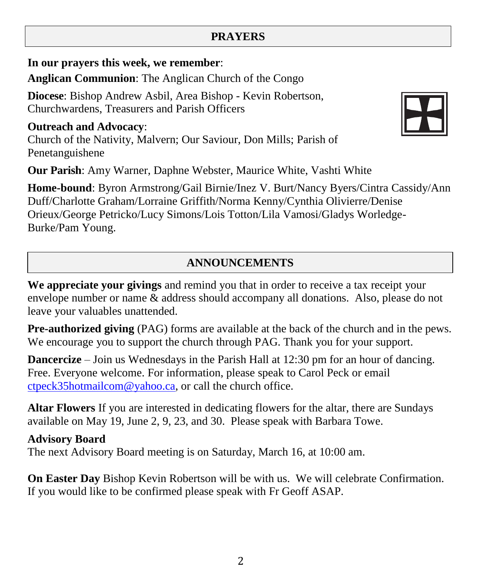## **PRAYERS**

**In our prayers this week, we remember**:

**Anglican Communion**: The Anglican Church of the Congo

**Diocese**: Bishop Andrew Asbil, Area Bishop - Kevin Robertson, Churchwardens, Treasurers and Parish Officers

**Outreach and Advocacy**: Church of the Nativity, Malvern; Our Saviour, Don Mills; Parish of Penetanguishene

**Our Parish**: Amy Warner, Daphne Webster, Maurice White, Vashti White

**Home-bound**: Byron Armstrong/Gail Birnie/Inez V. Burt/Nancy Byers/Cintra Cassidy/Ann Duff/Charlotte Graham/Lorraine Griffith/Norma Kenny/Cynthia Olivierre/Denise Orieux/George Petricko/Lucy Simons/Lois Totton/Lila Vamosi/Gladys Worledge-Burke/Pam Young.

## **ANNOUNCEMENTS**

**We appreciate your givings** and remind you that in order to receive a tax receipt your envelope number or name & address should accompany all donations. Also, please do not leave your valuables unattended.

**Pre-authorized giving** (PAG) forms are available at the back of the church and in the pews. We encourage you to support the church through PAG. Thank you for your support.

**Dancercize** – Join us Wednesdays in the Parish Hall at 12:30 pm for an hour of dancing. Free. Everyone welcome. For information, please speak to Carol Peck or email [ctpeck35hotmailcom@](mailto:ctpeck35@hotmail.com)yahoo.ca, or call the church office.

**Altar Flowers** If you are interested in dedicating flowers for the altar, there are Sundays available on May 19, June 2, 9, 23, and 30. Please speak with Barbara Towe.

**Advisory Board**

The next Advisory Board meeting is on Saturday, March 16, at 10:00 am.

**On Easter Day** Bishop Kevin Robertson will be with us. We will celebrate Confirmation. If you would like to be confirmed please speak with Fr Geoff ASAP.

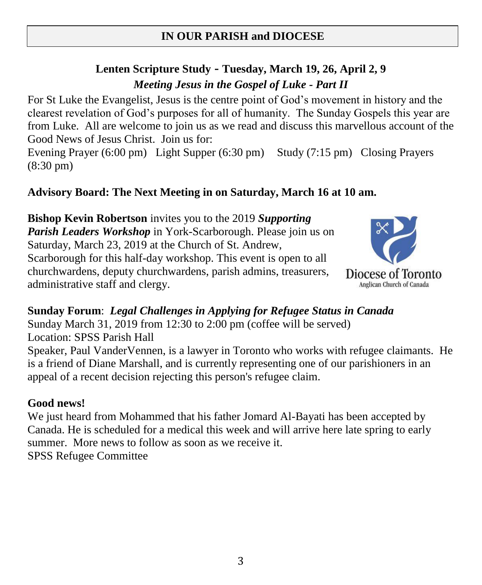# **IN OUR PARISH and DIOCESE**

# **Lenten Scripture Study - Tuesday, March 19, 26, April 2, 9** *Meeting Jesus in the Gospel of Luke - Part II*

For St Luke the Evangelist, Jesus is the centre point of God's movement in history and the clearest revelation of God's purposes for all of humanity. The Sunday Gospels this year are from Luke. All are welcome to join us as we read and discuss this marvellous account of the Good News of Jesus Christ. Join us for:

Evening Prayer (6:00 pm) Light Supper (6:30 pm) Study (7:15 pm) Closing Prayers (8:30 pm)

## **Advisory Board: The Next Meeting in on Saturday, March 16 at 10 am.**

**Bishop Kevin Robertson** invites you to the 2019 *Supporting Parish Leaders Workshop* in York-Scarborough. Please join us on Saturday, March 23, 2019 at the Church of St. Andrew, Scarborough for this half-day workshop. This event is open to all churchwardens, deputy churchwardens, parish admins, treasurers, administrative staff and clergy.



**Sunday Forum**: *Legal Challenges in Applying for Refugee Status in Canada* Sunday March 31, 2019 from 12:30 to 2:00 pm (coffee will be served) Location: SPSS Parish Hall Speaker, Paul VanderVennen, is a lawyer in Toronto who works with refugee claimants. He is a friend of Diane Marshall, and is currently representing one of our parishioners in an appeal of a recent decision rejecting this person's refugee claim.

## **Good news!**

We just heard from Mohammed that his father Jomard Al-Bayati has been accepted by Canada. He is scheduled for a medical this week and will arrive here late spring to early summer. More news to follow as soon as we receive it. SPSS Refugee Committee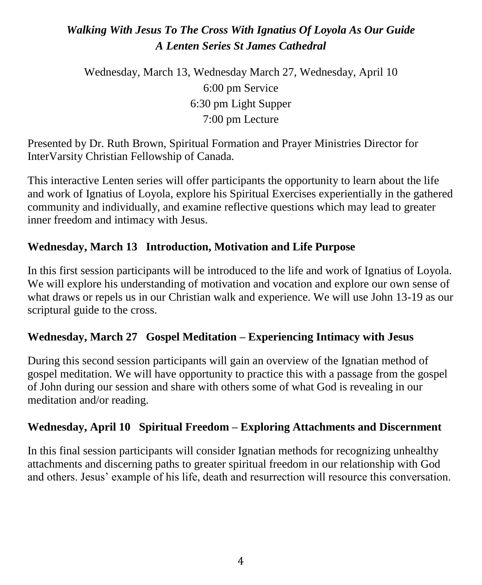# *Walking With Jesus To The Cross With Ignatius Of Loyola As Our Guide A Lenten Series St James Cathedral*

Wednesday, March 13, Wednesday March 27, Wednesday, April 10 6:00 pm Service 6:30 pm Light Supper 7:00 pm Lecture

Presented by Dr. Ruth Brown, Spiritual Formation and Prayer Ministries Director for InterVarsity Christian Fellowship of Canada.

This interactive Lenten series will offer participants the opportunity to learn about the life and work of Ignatius of Loyola, explore his Spiritual Exercises experientially in the gathered community and individually, and examine reflective questions which may lead to greater inner freedom and intimacy with Jesus.

## **Wednesday, March 13 Introduction, Motivation and Life Purpose**

In this first session participants will be introduced to the life and work of Ignatius of Loyola. We will explore his understanding of motivation and vocation and explore our own sense of what draws or repels us in our Christian walk and experience. We will use John 13-19 as our scriptural guide to the cross.

## **Wednesday, March 27 Gospel Meditation – Experiencing Intimacy with Jesus**

During this second session participants will gain an overview of the Ignatian method of gospel meditation. We will have opportunity to practice this with a passage from the gospel of John during our session and share with others some of what God is revealing in our meditation and/or reading.

## **Wednesday, April 10 Spiritual Freedom – Exploring Attachments and Discernment**

In this final session participants will consider Ignatian methods for recognizing unhealthy attachments and discerning paths to greater spiritual freedom in our relationship with God and others. Jesus' example of his life, death and resurrection will resource this conversation.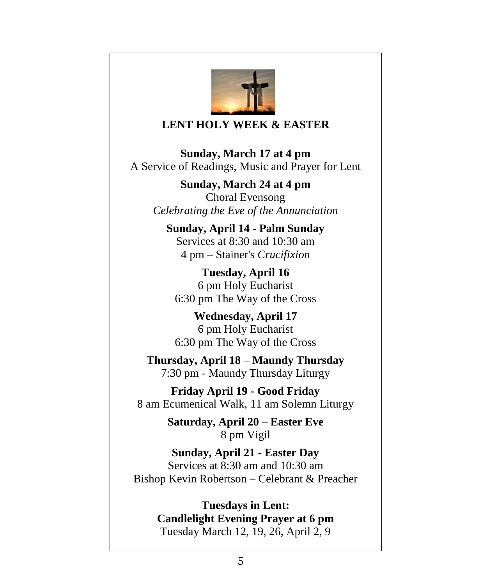

### **LENT HOLY WEEK & EASTER**

**Sunday, March 17 at 4 pm** A Service of Readings, Music and Prayer for Lent

**Sunday, March 24 at 4 pm** Choral Evensong *Celebrating the Eve of the Annunciation*

**Sunday, April 14 - Palm Sunday** Services at 8:30 and 10:30 am 4 pm – Stainer's *Crucifixion*

**Tuesday, April 16** 6 pm Holy Eucharist 6:30 pm The Way of the Cross

**Wednesday, April 17** 6 pm Holy Eucharist 6:30 pm The Way of the Cross

**Thursday, April 18** – **Maundy Thursday** 7:30 pm - Maundy Thursday Liturgy

**Friday April 19 - Good Friday** 8 am Ecumenical Walk, 11 am Solemn Liturgy

> **Saturday, April 20 – Easter Eve** 8 pm Vigil

**Sunday, April 21 - Easter Day** Services at 8:30 am and 10:30 am Bishop Kevin Robertson – Celebrant & Preacher

> **Tuesdays in Lent: Candlelight Evening Prayer at 6 pm** Tuesday March 12, 19, 26, April 2, 9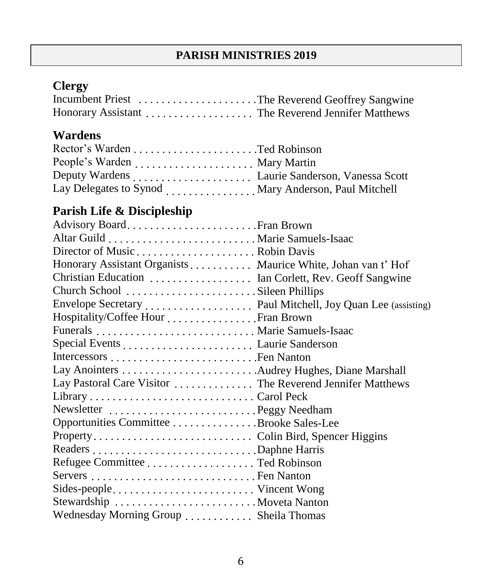## **PARISH MINISTRIES 2019**

# **Clergy**

| Incumbent Priest The Reverend Geoffrey Sangwine   |  |
|---------------------------------------------------|--|
| Honorary Assistant The Reverend Jennifer Matthews |  |

# **Wardens**

| Lay Delegates to Synod  Mary Anderson, Paul Mitchell |  |
|------------------------------------------------------|--|

# **Parish Life & Discipleship**

| Advisory BoardFran Brown                                     |  |
|--------------------------------------------------------------|--|
|                                                              |  |
|                                                              |  |
| Honorary Assistant Organists Maurice White, Johan van t' Hof |  |
| Christian Education  Ian Corlett, Rev. Geoff Sangwine        |  |
| Church School Sileen Phillips                                |  |
|                                                              |  |
| Hospitality/Coffee Hour Fran Brown                           |  |
|                                                              |  |
|                                                              |  |
|                                                              |  |
|                                                              |  |
| Lay Pastoral Care Visitor  The Reverend Jennifer Matthews    |  |
|                                                              |  |
| Newsletter Peggy Needham                                     |  |
| Opportunities Committee Brooke Sales-Lee                     |  |
|                                                              |  |
|                                                              |  |
|                                                              |  |
|                                                              |  |
| Sides-people Vincent Wong                                    |  |
|                                                              |  |
| Wednesday Morning Group  Sheila Thomas                       |  |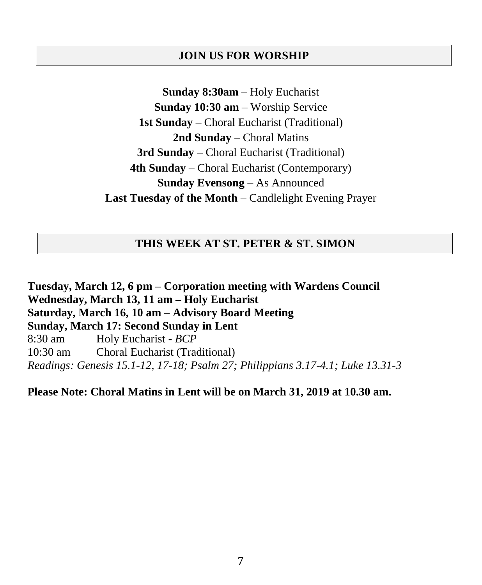### **JOIN US FOR WORSHIP**

**Sunday 8:30am** – Holy Eucharist **Sunday 10:30 am** – Worship Service **1st Sunday** – Choral Eucharist (Traditional) **2nd Sunday** – Choral Matins **3rd Sunday** – Choral Eucharist (Traditional) **4th Sunday** – Choral Eucharist (Contemporary) **Sunday Evensong** – As Announced **Last Tuesday of the Month** – Candlelight Evening Prayer

### **THIS WEEK AT ST. PETER & ST. SIMON**

**Tuesday, March 12, 6 pm – Corporation meeting with Wardens Council Wednesday, March 13, 11 am – Holy Eucharist Saturday, March 16, 10 am – Advisory Board Meeting Sunday, March 17: Second Sunday in Lent** 8:30 am Holy Eucharist - *BCP* 10:30 am Choral Eucharist (Traditional) *Readings: Genesis 15.1-12, 17-18; Psalm 27; Philippians 3.17-4.1; Luke 13.31-3*

### **Please Note: Choral Matins in Lent will be on March 31, 2019 at 10.30 am.**